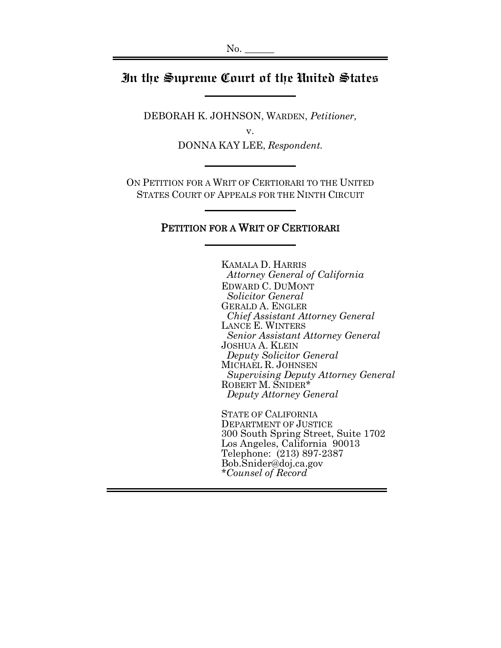# **In the Supreme Court of the United States**

DEBORAH K. JOHNSON, WARDEN, *Petitioner,*

v.

DONNA KAY LEE, *Respondent.*

ON PETITION FOR A WRIT OF CERTIORARI TO THE UNITED STATES COURT OF APPEALS FOR THE NINTH CIRCUIT

### PETITION FOR A WRIT OF CERTIORARI

KAMALA D. HARRIS  *Attorney General of California* EDWARD C. DUMONT  *Solicitor General* GERALD A. ENGLER *Chief Assistant Attorney General* LANCE E. WINTERS *Senior Assistant Attorney General* JOSHUA A. KLEIN  *Deputy Solicitor General* MICHAEL R. JOHNSEN *Supervising Deputy Attorney General* ROBERT M. SNIDER\* *Deputy Attorney General*

STATE OF CALIFORNIA DEPARTMENT OF JUSTICE 300 South Spring Street, Suite 1702 Los Angeles, California 90013 Telephone: (213) 897-2387 Bob.Snider@doj.ca.gov *\*Counsel of Record*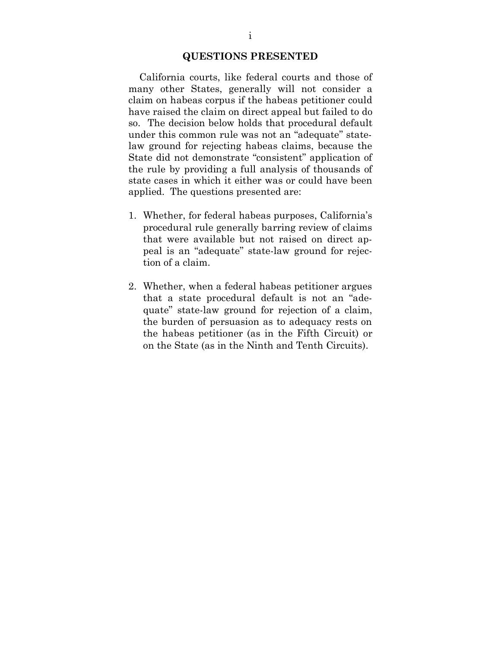#### **QUESTIONS PRESENTED**

 California courts, like federal courts and those of many other States, generally will not consider a claim on habeas corpus if the habeas petitioner could have raised the claim on direct appeal but failed to do so. The decision below holds that procedural default under this common rule was not an "adequate" statelaw ground for rejecting habeas claims, because the State did not demonstrate "consistent" application of the rule by providing a full analysis of thousands of state cases in which it either was or could have been applied. The questions presented are:

- 1. Whether, for federal habeas purposes, California's procedural rule generally barring review of claims that were available but not raised on direct appeal is an "adequate" state-law ground for rejection of a claim.
- 2. Whether, when a federal habeas petitioner argues that a state procedural default is not an "adequate" state-law ground for rejection of a claim, the burden of persuasion as to adequacy rests on the habeas petitioner (as in the Fifth Circuit) or on the State (as in the Ninth and Tenth Circuits).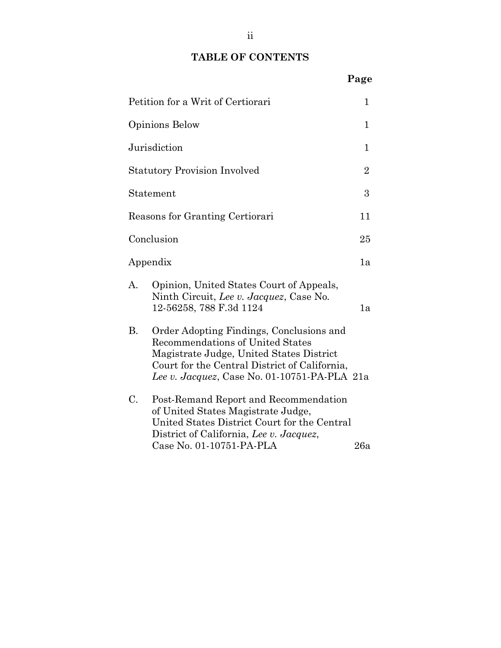# **TABLE OF CONTENTS**

**Page**

|                                     | Petition for a Writ of Certiorari                                                                                                                                                                                                | $\mathbf 1$    |
|-------------------------------------|----------------------------------------------------------------------------------------------------------------------------------------------------------------------------------------------------------------------------------|----------------|
|                                     | Opinions Below                                                                                                                                                                                                                   | $\mathbf{1}$   |
|                                     | Jurisdiction                                                                                                                                                                                                                     | 1              |
| <b>Statutory Provision Involved</b> |                                                                                                                                                                                                                                  | $\overline{2}$ |
| Statement                           |                                                                                                                                                                                                                                  | 3              |
| Reasons for Granting Certiorari     |                                                                                                                                                                                                                                  | 11             |
| Conclusion                          |                                                                                                                                                                                                                                  | 25             |
| Appendix                            |                                                                                                                                                                                                                                  | 1а             |
| А.                                  | Opinion, United States Court of Appeals,<br>Ninth Circuit, Lee v. Jacquez, Case No.<br>12-56258, 788 F.3d 1124                                                                                                                   | 1a             |
| В.                                  | Order Adopting Findings, Conclusions and<br><b>Recommendations of United States</b><br>Magistrate Judge, United States District<br>Court for the Central District of California,<br>Lee v. Jacquez, Case No. 01-10751-PA-PLA 21a |                |
| C.                                  | Post-Remand Report and Recommendation<br>of United States Magistrate Judge,<br>United States District Court for the Central<br>District of California, Lee v. Jacquez,<br>Case No. 01-10751-PA-PLA                               | 26a            |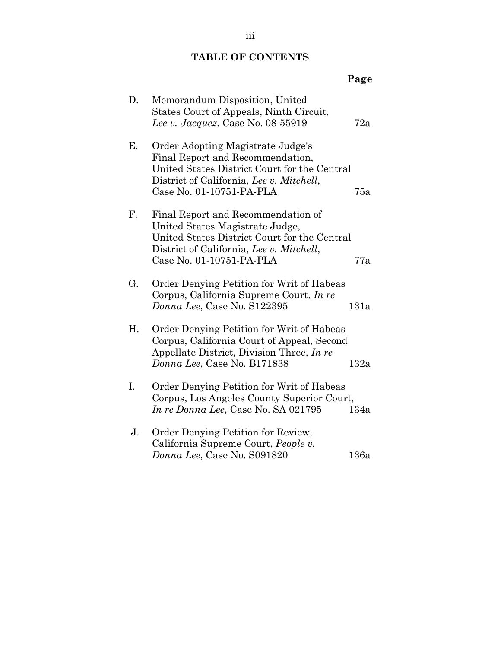## **TABLE OF CONTENTS**

|    |                                                                                                                                                                                               | Page |
|----|-----------------------------------------------------------------------------------------------------------------------------------------------------------------------------------------------|------|
| D. | Memorandum Disposition, United<br>States Court of Appeals, Ninth Circuit,<br>Lee v. Jacquez, Case No. 08-55919                                                                                | 72a  |
| Ε. | Order Adopting Magistrate Judge's<br>Final Report and Recommendation,<br>United States District Court for the Central<br>District of California, Lee v. Mitchell,<br>Case No. 01-10751-PA-PLA | 75a  |
| F. | Final Report and Recommendation of<br>United States Magistrate Judge,<br>United States District Court for the Central<br>District of California, Lee v. Mitchell,<br>Case No. 01-10751-PA-PLA | 77a  |
| G. | Order Denying Petition for Writ of Habeas<br>Corpus, California Supreme Court, In re<br>Donna Lee, Case No. S122395                                                                           | 131a |
| Η. | Order Denying Petition for Writ of Habeas<br>Corpus, California Court of Appeal, Second<br>Appellate District, Division Three, In re<br>Donna Lee, Case No. B171838                           | 132a |
| I. | Order Denying Petition for Writ of Habeas<br>Corpus, Los Angeles County Superior Court,<br>In re Donna Lee, Case No. SA 021795                                                                | 134a |
| J. | Order Denying Petition for Review,<br>California Supreme Court, People v.<br>Donna Lee, Case No. S091820                                                                                      | 136a |

iii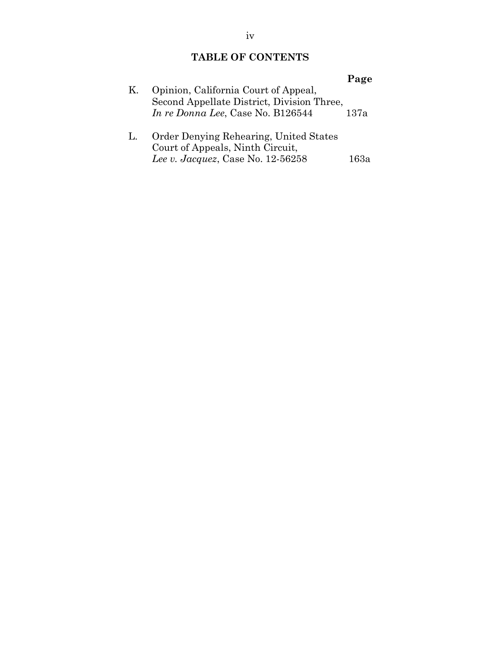## **TABLE OF CONTENTS**

| K. | Opinion, California Court of Appeal,<br>Second Appellate District, Division Three,<br>In re Donna Lee, Case No. B126544 | Page<br>137a |
|----|-------------------------------------------------------------------------------------------------------------------------|--------------|
|    | Order Denying Rehearing, United States<br>Court of Appeals, Ninth Circuit,<br>Lee v. Jacquez, Case No. $12-56258$       | 63а          |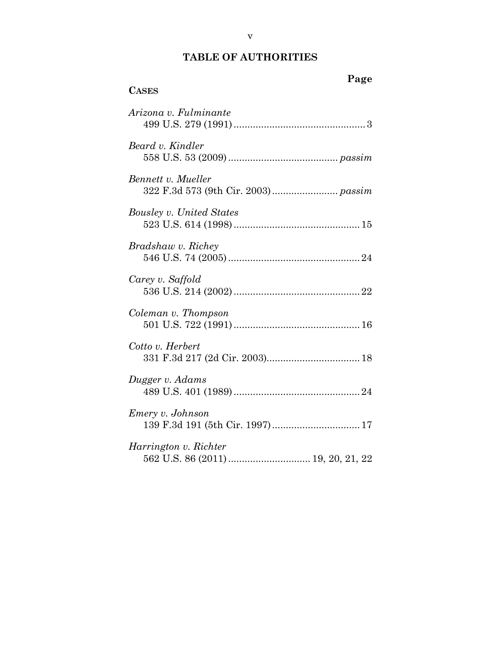| Page<br><b>CASES</b>     |
|--------------------------|
| Arizona v. Fulminante    |
| Beard v. Kindler         |
| Bennett v. Mueller       |
| Bousley v. United States |
| Bradshaw v. Richey       |
| Carey v. Saffold         |
| Coleman v. Thompson      |
| Cotto v. Herbert         |
| Dugger v. Adams          |
| <i>Emery v. Johnson</i>  |
| Harrington v. Richter    |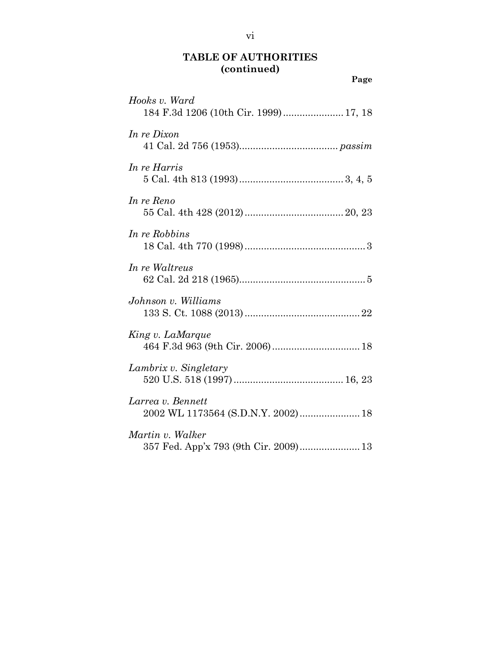| Page                                                      |
|-----------------------------------------------------------|
| Hooks v. Ward<br>184 F.3d 1206 (10th Cir. 1999) 17, 18    |
| In re Dixon                                               |
| In re Harris                                              |
| In re Reno                                                |
| In re Robbins                                             |
| In re Waltreus                                            |
| Johnson v. Williams                                       |
| King v. LaMarque                                          |
| Lambrix v. Singletary                                     |
| Larrea v. Bennett<br>2002 WL 1173564 (S.D.N.Y. 2002) 18   |
| Martin v. Walker<br>357 Fed. App'x 793 (9th Cir. 2009) 13 |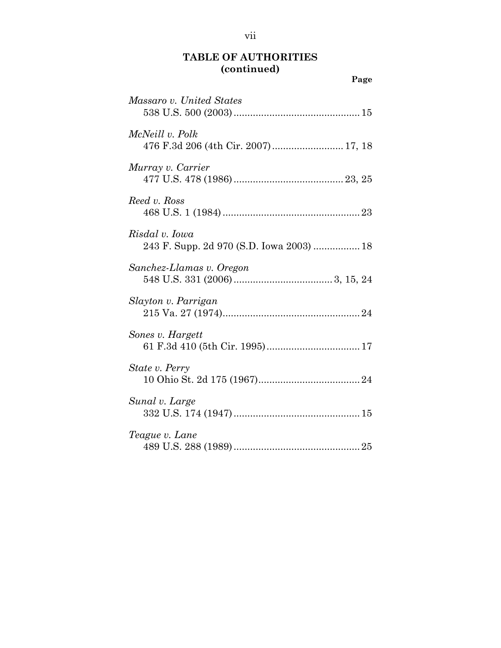| Page                                                       |
|------------------------------------------------------------|
| Massaro v. United States                                   |
| McNeill v. Polk<br>476 F.3d 206 (4th Cir. 2007) 17, 18     |
| Murray v. Carrier                                          |
| Reed v. Ross                                               |
| Risdal v. Iowa<br>243 F. Supp. 2d 970 (S.D. Iowa 2003)  18 |
| Sanchez-Llamas v. Oregon                                   |
| Slayton v. Parrigan                                        |
| Sones v. Hargett                                           |
| State v. Perry                                             |
| Sunal v. Large                                             |
| Teague v. Lane                                             |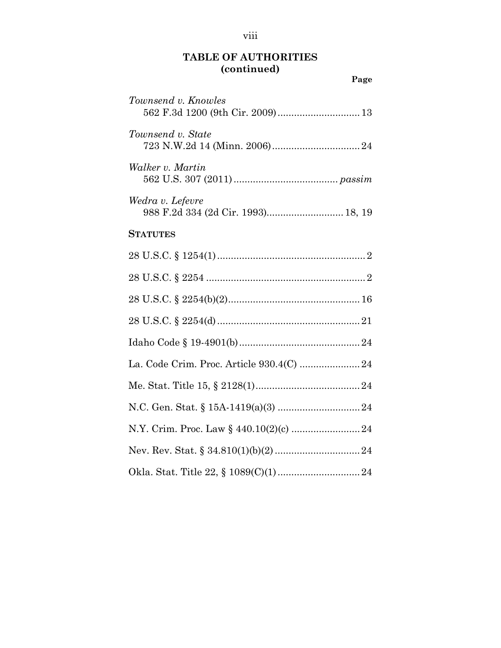|                                                        | Page |
|--------------------------------------------------------|------|
| Townsend v. Knowles                                    |      |
| Townsend v. State                                      |      |
| Walker v. Martin                                       |      |
| Wedra v. Lefevre<br>988 F.2d 334 (2d Cir. 1993) 18, 19 |      |
| <b>STATUTES</b>                                        |      |
|                                                        |      |
|                                                        |      |
|                                                        |      |
|                                                        |      |
|                                                        |      |
|                                                        |      |
|                                                        |      |
|                                                        |      |
|                                                        |      |
|                                                        |      |
|                                                        |      |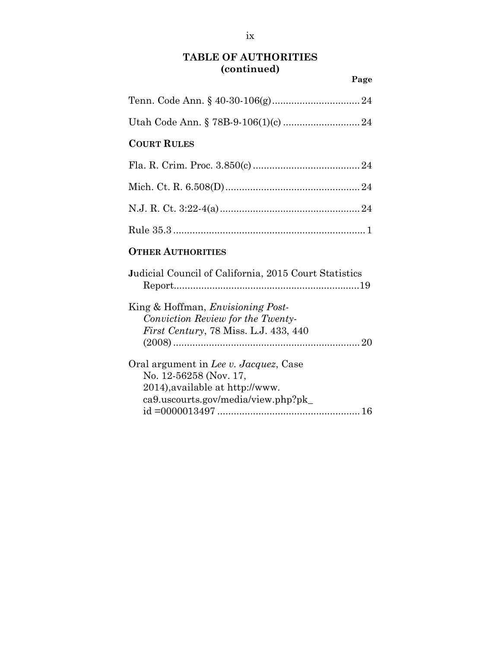**Page**

| <b>COURT RULES</b>                                                                                                                        |
|-------------------------------------------------------------------------------------------------------------------------------------------|
|                                                                                                                                           |
|                                                                                                                                           |
|                                                                                                                                           |
|                                                                                                                                           |
| <b>OTHER AUTHORITIES</b>                                                                                                                  |
| Judicial Council of California, 2015 Court Statistics                                                                                     |
| King & Hoffman, <i>Envisioning Post-</i><br>Conviction Review for the Twenty-<br><i>First Century</i> , 78 Miss. L.J. 433, 440            |
| Oral argument in Lee v. Jacquez, Case<br>No. 12-56258 (Nov. 17,<br>2014), available at http://www.<br>ca9.uscourts.gov/media/view.php?pk_ |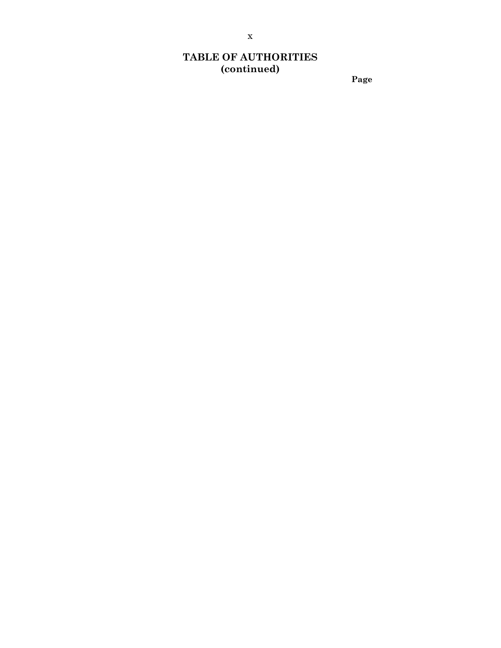**Page**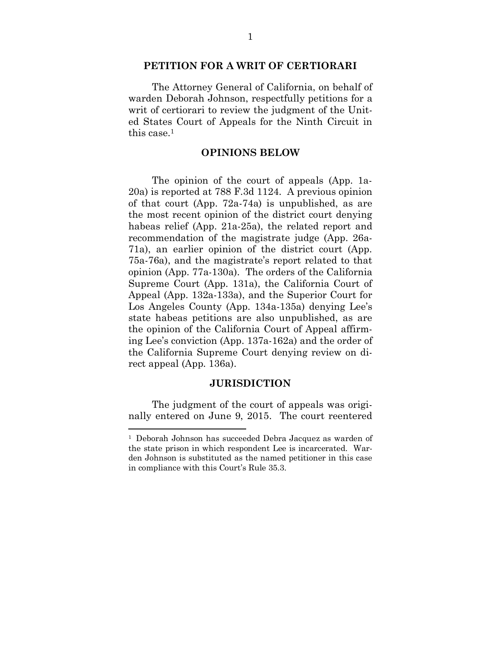#### **PETITION FOR A WRIT OF CERTIORARI**

The Attorney General of California, on behalf of warden Deborah Johnson, respectfully petitions for a writ of certiorari to review the judgment of the United States Court of Appeals for the Ninth Circuit in this case.<sup>1</sup>

### **OPINIONS BELOW**

The opinion of the court of appeals (App. 1a-20a) is reported at 788 F.3d 1124. A previous opinion of that court (App. 72a-74a) is unpublished, as are the most recent opinion of the district court denying habeas relief (App. 21a-25a), the related report and recommendation of the magistrate judge (App. 26a-71a), an earlier opinion of the district court (App. 75a-76a), and the magistrate's report related to that opinion (App. 77a-130a). The orders of the California Supreme Court (App. 131a), the California Court of Appeal (App. 132a-133a), and the Superior Court for Los Angeles County (App. 134a-135a) denying Lee's state habeas petitions are also unpublished, as are the opinion of the California Court of Appeal affirming Lee's conviction (App. 137a-162a) and the order of the California Supreme Court denying review on direct appeal (App. 136a).

#### **JURISDICTION**

The judgment of the court of appeals was originally entered on June 9, 2015. The court reentered

<sup>1</sup> Deborah Johnson has succeeded Debra Jacquez as warden of the state prison in which respondent Lee is incarcerated. Warden Johnson is substituted as the named petitioner in this case in compliance with this Court's Rule 35.3.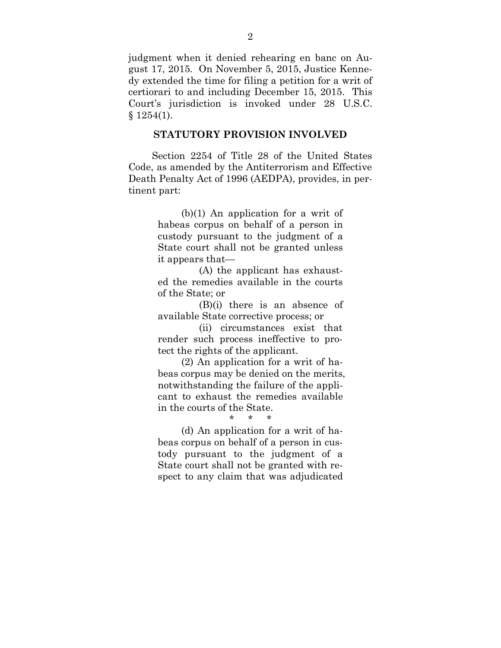judgment when it denied rehearing en banc on August 17, 2015. On November 5, 2015, Justice Kennedy extended the time for filing a petition for a writ of certiorari to and including December 15, 2015. This Court's jurisdiction is invoked under 28 U.S.C.  $§ 1254(1).$ 

### **STATUTORY PROVISION INVOLVED**

Section 2254 of Title 28 of the United States Code, as amended by the Antiterrorism and Effective Death Penalty Act of 1996 (AEDPA), provides, in pertinent part:

> (b)(1) An application for a writ of habeas corpus on behalf of a person in custody pursuant to the judgment of a State court shall not be granted unless it appears that—

> (A) the applicant has exhausted the remedies available in the courts of the State; or

> (B)(i) there is an absence of available State corrective process; or

> (ii) circumstances exist that render such process ineffective to protect the rights of the applicant.

> (2) An application for a writ of habeas corpus may be denied on the merits, notwithstanding the failure of the applicant to exhaust the remedies available in the courts of the State.

> > \* \* \*

(d) An application for a writ of habeas corpus on behalf of a person in custody pursuant to the judgment of a State court shall not be granted with respect to any claim that was adjudicated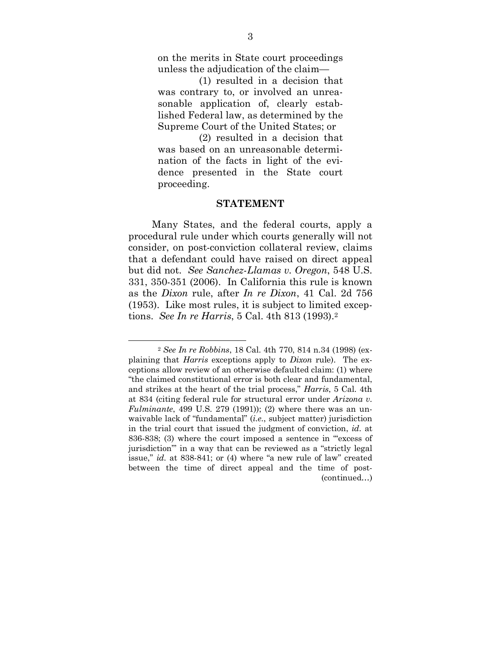on the merits in State court proceedings unless the adjudication of the claim—

 (1) resulted in a decision that was contrary to, or involved an unreasonable application of, clearly established Federal law, as determined by the Supreme Court of the United States; or

(2) resulted in a decision that was based on an unreasonable determination of the facts in light of the evidence presented in the State court proceeding.

#### **STATEMENT**

Many States, and the federal courts, apply a procedural rule under which courts generally will not consider, on post-conviction collateral review, claims that a defendant could have raised on direct appeal but did not. *See Sanchez-Llamas v. Oregon*, 548 U.S. 331, 350-351 (2006). In California this rule is known as the *Dixon* rule, after *In re Dixon*, 41 Cal. 2d 756 (1953). Like most rules, it is subject to limited exceptions. *See In re Harris*, 5 Cal. 4th 813 (1993).<sup>2</sup>

<sup>2</sup> *See In re Robbins*, 18 Cal. 4th 770, 814 n.34 (1998) (explaining that *Harris* exceptions apply to *Dixon* rule). The exceptions allow review of an otherwise defaulted claim: (1) where "the claimed constitutional error is both clear and fundamental, and strikes at the heart of the trial process," *Harris*, 5 Cal. 4th at 834 (citing federal rule for structural error under *Arizona v. Fulminante*, 499 U.S. 279 (1991)); (2) where there was an unwaivable lack of "fundamental" (*i.e.*, subject matter) jurisdiction in the trial court that issued the judgment of conviction, *id.* at 836-838; (3) where the court imposed a sentence in "'excess of jurisdiction'" in a way that can be reviewed as a "strictly legal issue," *id.* at 838-841; or (4) where "a new rule of law" created between the time of direct appeal and the time of post- (continued…)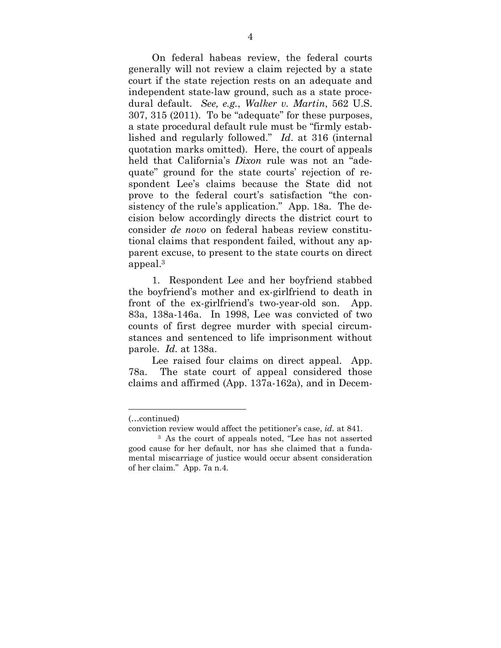On federal habeas review, the federal courts generally will not review a claim rejected by a state court if the state rejection rests on an adequate and independent state-law ground, such as a state procedural default. *See, e.g.*, *Walker v. Martin*, 562 U.S. 307, 315 (2011). To be "adequate" for these purposes, a state procedural default rule must be "firmly established and regularly followed." *Id*. at 316 (internal quotation marks omitted). Here, the court of appeals held that California's *Dixon* rule was not an "adequate" ground for the state courts' rejection of respondent Lee's claims because the State did not prove to the federal court's satisfaction "the consistency of the rule's application." App. 18a. The decision below accordingly directs the district court to consider *de novo* on federal habeas review constitutional claims that respondent failed, without any apparent excuse, to present to the state courts on direct appeal.<sup>3</sup>

1. Respondent Lee and her boyfriend stabbed the boyfriend's mother and ex-girlfriend to death in front of the ex-girlfriend's two-year-old son. App. 83a, 138a-146a. In 1998, Lee was convicted of two counts of first degree murder with special circumstances and sentenced to life imprisonment without parole. *Id.* at 138a.

Lee raised four claims on direct appeal. App. 78a. The state court of appeal considered those claims and affirmed (App. 137a-162a), and in Decem-

<sup>(…</sup>continued)

conviction review would affect the petitioner's case, *id.* at 841.

<sup>3</sup> As the court of appeals noted, "Lee has not asserted good cause for her default, nor has she claimed that a fundamental miscarriage of justice would occur absent consideration of her claim." App. 7a n.4.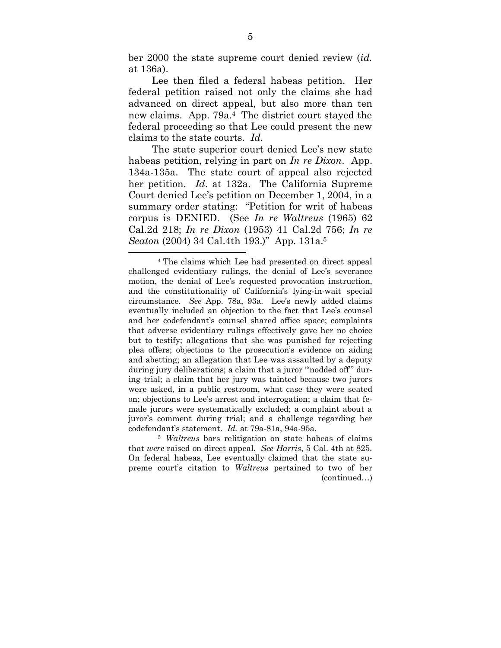ber 2000 the state supreme court denied review (*id.* at 136a).

Lee then filed a federal habeas petition. Her federal petition raised not only the claims she had advanced on direct appeal, but also more than ten new claims. App. 79a.4 The district court stayed the federal proceeding so that Lee could present the new claims to the state courts. *Id.*

The state superior court denied Lee's new state habeas petition, relying in part on *In re Dixon*. App. 134a-135a. The state court of appeal also rejected her petition. *Id*. at 132a. The California Supreme Court denied Lee's petition on December 1, 2004, in a summary order stating: "Petition for writ of habeas corpus is DENIED. (See *In re Waltreus* (1965) 62 Cal.2d 218; *In re Dixon* (1953) 41 Cal.2d 756; *In re Seaton* (2004) 34 Cal.4th 193.)" App. 131a.<sup>5</sup>

<sup>4</sup> The claims which Lee had presented on direct appeal challenged evidentiary rulings, the denial of Lee's severance motion, the denial of Lee's requested provocation instruction, and the constitutionality of California's lying-in-wait special circumstance. *See* App. 78a, 93a. Lee's newly added claims eventually included an objection to the fact that Lee's counsel and her codefendant's counsel shared office space; complaints that adverse evidentiary rulings effectively gave her no choice but to testify; allegations that she was punished for rejecting plea offers; objections to the prosecution's evidence on aiding and abetting; an allegation that Lee was assaulted by a deputy during jury deliberations; a claim that a juror "'nodded off'" during trial; a claim that her jury was tainted because two jurors were asked, in a public restroom, what case they were seated on; objections to Lee's arrest and interrogation; a claim that female jurors were systematically excluded; a complaint about a juror's comment during trial; and a challenge regarding her codefendant's statement. *Id.* at 79a-81a, 94a-95a.

<sup>5</sup> *Waltreus* bars relitigation on state habeas of claims that *were* raised on direct appeal. *See Harris*, 5 Cal. 4th at 825. On federal habeas, Lee eventually claimed that the state supreme court's citation to *Waltreus* pertained to two of her (continued…)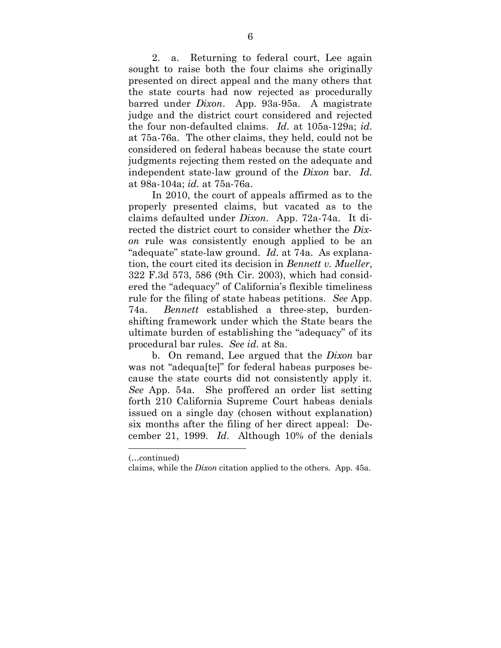2. a. Returning to federal court, Lee again sought to raise both the four claims she originally presented on direct appeal and the many others that the state courts had now rejected as procedurally barred under *Dixon*. App. 93a-95a. A magistrate judge and the district court considered and rejected the four non-defaulted claims. *Id*. at 105a-129a; *id.* at 75a-76a. The other claims, they held, could not be considered on federal habeas because the state court judgments rejecting them rested on the adequate and independent state-law ground of the *Dixon* bar. *Id.* at 98a-104a; *id.* at 75a-76a.

In 2010, the court of appeals affirmed as to the properly presented claims, but vacated as to the claims defaulted under *Dixon*. App. 72a-74a. It directed the district court to consider whether the *Dixon* rule was consistently enough applied to be an "adequate" state-law ground. *Id.* at 74a. As explanation, the court cited its decision in *Bennett v. Mueller*, 322 F.3d 573, 586 (9th Cir. 2003), which had considered the "adequacy" of California's flexible timeliness rule for the filing of state habeas petitions. *See* App. 74a. *Bennett* established a three-step, burdenshifting framework under which the State bears the ultimate burden of establishing the "adequacy" of its procedural bar rules. *See id.* at 8a.

b. On remand, Lee argued that the *Dixon* bar was not "adequa[te]" for federal habeas purposes because the state courts did not consistently apply it. *See* App. 54a. She proffered an order list setting forth 210 California Supreme Court habeas denials issued on a single day (chosen without explanation) six months after the filing of her direct appeal: December 21, 1999. *Id*. Although 10% of the denials

<sup>(…</sup>continued)

claims, while the *Dixon* citation applied to the others. App. 45a.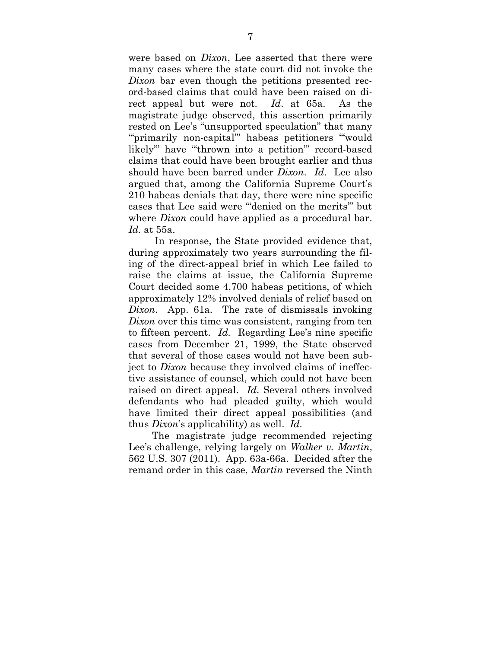were based on *Dixon*, Lee asserted that there were many cases where the state court did not invoke the *Dixon* bar even though the petitions presented record-based claims that could have been raised on direct appeal but were not. *Id*. at 65a. As the magistrate judge observed, this assertion primarily rested on Lee's "unsupported speculation" that many "primarily non-capital" habeas petitioners "would likely'" have "'thrown into a petition'" record-based claims that could have been brought earlier and thus should have been barred under *Dixon*. *Id*. Lee also argued that, among the California Supreme Court's 210 habeas denials that day, there were nine specific cases that Lee said were "'denied on the merits'" but where *Dixon* could have applied as a procedural bar. *Id.* at 55a.

 In response, the State provided evidence that, during approximately two years surrounding the filing of the direct-appeal brief in which Lee failed to raise the claims at issue, the California Supreme Court decided some 4,700 habeas petitions, of which approximately 12% involved denials of relief based on *Dixon*. App. 61a. The rate of dismissals invoking *Dixon* over this time was consistent, ranging from ten to fifteen percent. *Id.* Regarding Lee's nine specific cases from December 21, 1999, the State observed that several of those cases would not have been subject to *Dixon* because they involved claims of ineffective assistance of counsel, which could not have been raised on direct appeal. *Id.* Several others involved defendants who had pleaded guilty, which would have limited their direct appeal possibilities (and thus *Dixon*'s applicability) as well. *Id.*

The magistrate judge recommended rejecting Lee's challenge, relying largely on *Walker v. Martin*, 562 U.S. 307 (2011). App. 63a-66a. Decided after the remand order in this case, *Martin* reversed the Ninth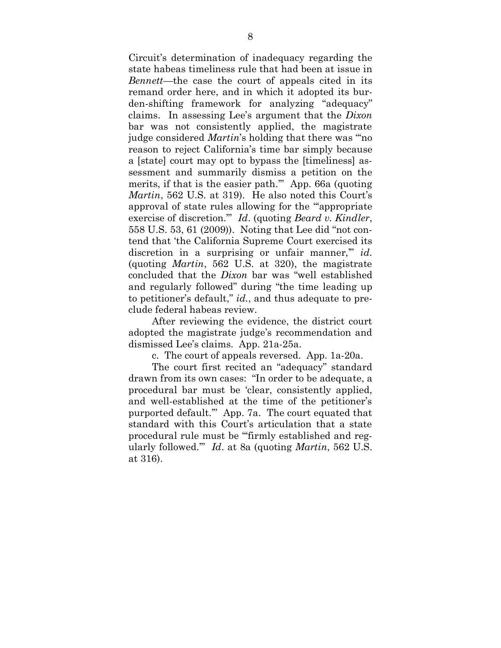Circuit's determination of inadequacy regarding the state habeas timeliness rule that had been at issue in *Bennett*—the case the court of appeals cited in its remand order here, and in which it adopted its burden-shifting framework for analyzing "adequacy" claims. In assessing Lee's argument that the *Dixon* bar was not consistently applied, the magistrate judge considered *Martin*'s holding that there was "'no reason to reject California's time bar simply because a [state] court may opt to bypass the [timeliness] assessment and summarily dismiss a petition on the merits, if that is the easier path.'" App. 66a (quoting *Martin*, 562 U.S. at 319). He also noted this Court's approval of state rules allowing for the "'appropriate exercise of discretion.'" *Id*. (quoting *Beard v. Kindler*, 558 U.S. 53, 61 (2009)). Noting that Lee did "not contend that 'the California Supreme Court exercised its discretion in a surprising or unfair manner," *id.* (quoting *Martin*, 562 U.S. at 320), the magistrate concluded that the *Dixon* bar was "well established and regularly followed" during "the time leading up to petitioner's default," *id.*, and thus adequate to preclude federal habeas review.

After reviewing the evidence, the district court adopted the magistrate judge's recommendation and dismissed Lee's claims. App. 21a-25a.

c. The court of appeals reversed. App. 1a-20a.

The court first recited an "adequacy" standard drawn from its own cases: "In order to be adequate, a procedural bar must be 'clear, consistently applied, and well-established at the time of the petitioner's purported default.'" App. 7a. The court equated that standard with this Court's articulation that a state procedural rule must be "'firmly established and regularly followed.'" *Id*. at 8a (quoting *Martin*, 562 U.S. at 316).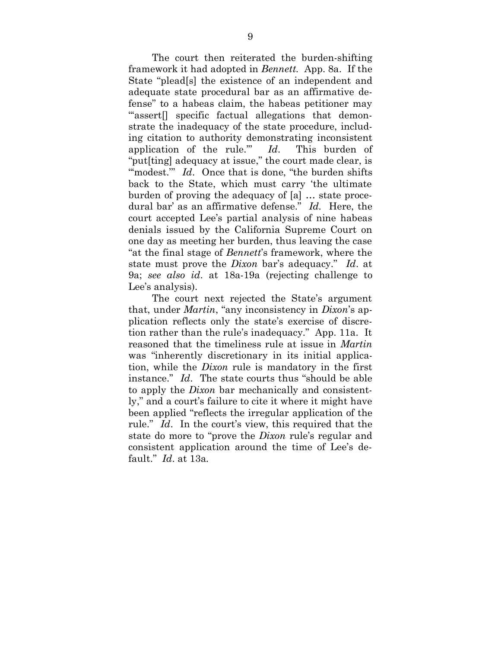The court then reiterated the burden-shifting framework it had adopted in *Bennett*. App. 8a. If the State "plead[s] the existence of an independent and adequate state procedural bar as an affirmative defense" to a habeas claim, the habeas petitioner may "assert<sup>[]</sup> specific factual allegations that demonstrate the inadequacy of the state procedure, including citation to authority demonstrating inconsistent application of the rule.'" *Id*. This burden of "put[ting] adequacy at issue," the court made clear, is "modest." *Id.* Once that is done, "the burden shifts back to the State, which must carry 'the ultimate burden of proving the adequacy of [a] … state procedural bar' as an affirmative defense." *Id.* Here, the court accepted Lee's partial analysis of nine habeas denials issued by the California Supreme Court on one day as meeting her burden, thus leaving the case "at the final stage of *Bennett*'s framework, where the state must prove the *Dixon* bar's adequacy." *Id*. at 9a; *see also id*. at 18a-19a (rejecting challenge to Lee's analysis).

The court next rejected the State's argument that, under *Martin*, "any inconsistency in *Dixon*'s application reflects only the state's exercise of discretion rather than the rule's inadequacy." App. 11a. It reasoned that the timeliness rule at issue in *Martin* was "inherently discretionary in its initial application, while the *Dixon* rule is mandatory in the first instance." *Id*. The state courts thus "should be able to apply the *Dixon* bar mechanically and consistently," and a court's failure to cite it where it might have been applied "reflects the irregular application of the rule." *Id*. In the court's view, this required that the state do more to "prove the *Dixon* rule's regular and consistent application around the time of Lee's default." *Id*. at 13a.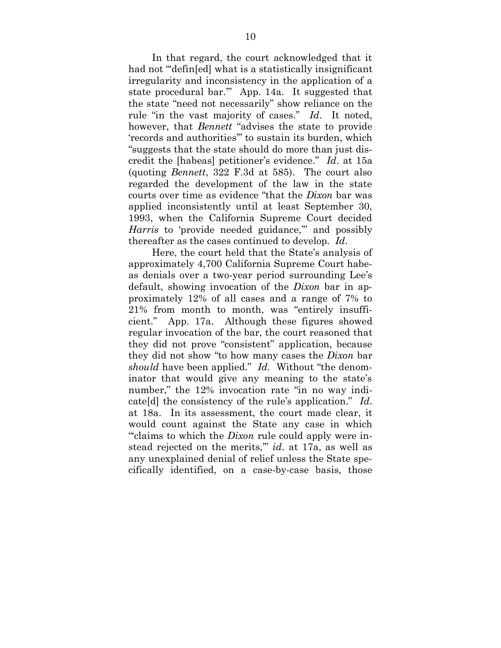In that regard, the court acknowledged that it had not "defin[ed] what is a statistically insignificant irregularity and inconsistency in the application of a state procedural bar.'" App. 14a. It suggested that the state "need not necessarily" show reliance on the rule "in the vast majority of cases." *Id*. It noted, however, that *Bennett* "advises the state to provide 'records and authorities'" to sustain its burden, which "suggests that the state should do more than just discredit the [habeas] petitioner's evidence." *Id*. at 15a (quoting *Bennett*, 322 F.3d at 585). The court also regarded the development of the law in the state courts over time as evidence "that the *Dixon* bar was applied inconsistently until at least September 30, 1993, when the California Supreme Court decided *Harris* to 'provide needed guidance," and possibly thereafter as the cases continued to develop. *Id*.

Here, the court held that the State's analysis of approximately 4,700 California Supreme Court habeas denials over a two-year period surrounding Lee's default, showing invocation of the *Dixon* bar in approximately 12% of all cases and a range of 7% to 21% from month to month, was "entirely insufficient." App. 17a. Although these figures showed regular invocation of the bar, the court reasoned that they did not prove "consistent" application, because they did not show "to how many cases the *Dixon* bar *should* have been applied." *Id.* Without "the denominator that would give any meaning to the state's number," the 12% invocation rate "in no way indicate[d] the consistency of the rule's application." *Id*. at 18a. In its assessment, the court made clear, it would count against the State any case in which "'claims to which the *Dixon* rule could apply were instead rejected on the merits,'" *id*. at 17a, as well as any unexplained denial of relief unless the State specifically identified, on a case-by-case basis, those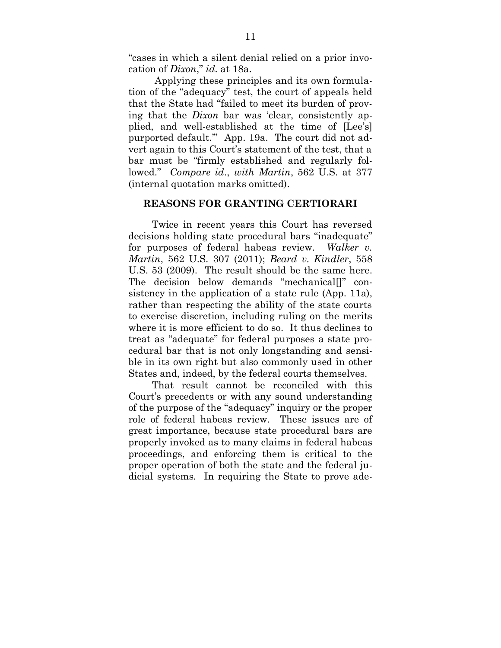"cases in which a silent denial relied on a prior invocation of *Dixon*," *id.* at 18a.

 Applying these principles and its own formulation of the "adequacy" test, the court of appeals held that the State had "failed to meet its burden of proving that the *Dixon* bar was 'clear, consistently applied, and well-established at the time of [Lee's] purported default.'" App. 19a. The court did not advert again to this Court's statement of the test, that a bar must be "firmly established and regularly followed." *Compare id*., *with Martin*, 562 U.S. at 377 (internal quotation marks omitted).

### **REASONS FOR GRANTING CERTIORARI**

Twice in recent years this Court has reversed decisions holding state procedural bars "inadequate" for purposes of federal habeas review. *Walker v. Martin*, 562 U.S. 307 (2011); *Beard v. Kindler*, 558 U.S. 53 (2009). The result should be the same here. The decision below demands "mechanical[]" consistency in the application of a state rule (App. 11a), rather than respecting the ability of the state courts to exercise discretion, including ruling on the merits where it is more efficient to do so. It thus declines to treat as "adequate" for federal purposes a state procedural bar that is not only longstanding and sensible in its own right but also commonly used in other States and, indeed, by the federal courts themselves.

That result cannot be reconciled with this Court's precedents or with any sound understanding of the purpose of the "adequacy" inquiry or the proper role of federal habeas review. These issues are of great importance, because state procedural bars are properly invoked as to many claims in federal habeas proceedings, and enforcing them is critical to the proper operation of both the state and the federal judicial systems. In requiring the State to prove ade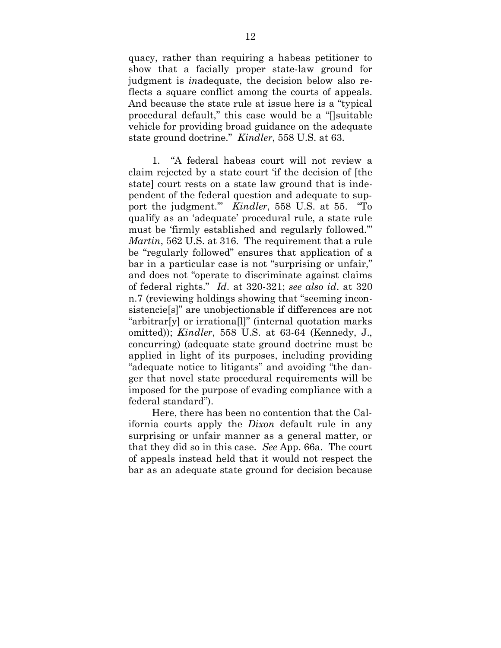quacy, rather than requiring a habeas petitioner to show that a facially proper state-law ground for judgment is *in*adequate, the decision below also reflects a square conflict among the courts of appeals. And because the state rule at issue here is a "typical procedural default," this case would be a "[]suitable vehicle for providing broad guidance on the adequate state ground doctrine." *Kindler*, 558 U.S. at 63.

1. "A federal habeas court will not review a claim rejected by a state court 'if the decision of [the state] court rests on a state law ground that is independent of the federal question and adequate to support the judgment.'" *Kindler*, 558 U.S. at 55. "To qualify as an 'adequate' procedural rule, a state rule must be 'firmly established and regularly followed.'" *Martin*, 562 U.S. at 316. The requirement that a rule be "regularly followed" ensures that application of a bar in a particular case is not "surprising or unfair," and does not "operate to discriminate against claims of federal rights." *Id*. at 320-321; *see also id*. at 320 n.7 (reviewing holdings showing that "seeming inconsistencie[s]" are unobjectionable if differences are not "arbitrar[y] or irrationa[l]" (internal quotation marks omitted)); *Kindler*, 558 U.S. at 63-64 (Kennedy, J., concurring) (adequate state ground doctrine must be applied in light of its purposes, including providing "adequate notice to litigants" and avoiding "the danger that novel state procedural requirements will be imposed for the purpose of evading compliance with a federal standard").

Here, there has been no contention that the California courts apply the *Dixon* default rule in any surprising or unfair manner as a general matter, or that they did so in this case. *See* App. 66a. The court of appeals instead held that it would not respect the bar as an adequate state ground for decision because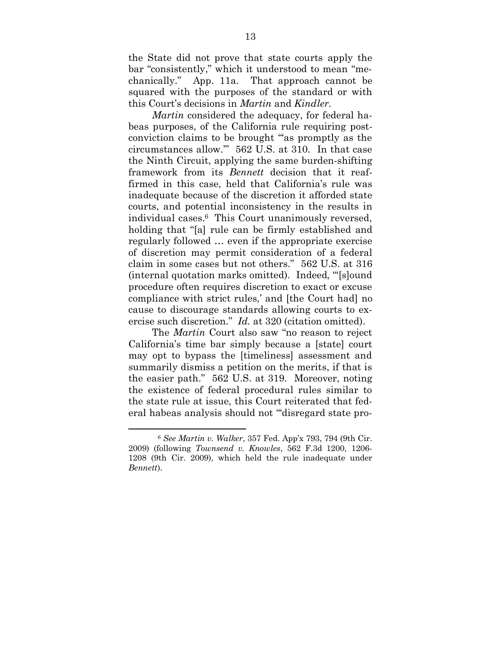the State did not prove that state courts apply the bar "consistently," which it understood to mean "mechanically." App. 11a. That approach cannot be squared with the purposes of the standard or with this Court's decisions in *Martin* and *Kindler*.

*Martin* considered the adequacy, for federal habeas purposes, of the California rule requiring postconviction claims to be brought "'as promptly as the circumstances allow.'" 562 U.S. at 310. In that case the Ninth Circuit, applying the same burden-shifting framework from its *Bennett* decision that it reaffirmed in this case, held that California's rule was inadequate because of the discretion it afforded state courts, and potential inconsistency in the results in individual cases.6 This Court unanimously reversed, holding that "[a] rule can be firmly established and regularly followed … even if the appropriate exercise of discretion may permit consideration of a federal claim in some cases but not others." 562 U.S. at 316 (internal quotation marks omitted). Indeed, "'[s]ound procedure often requires discretion to exact or excuse compliance with strict rules,' and [the Court had] no cause to discourage standards allowing courts to exercise such discretion." *Id.* at 320 (citation omitted).

The *Martin* Court also saw "no reason to reject California's time bar simply because a [state] court may opt to bypass the [timeliness] assessment and summarily dismiss a petition on the merits, if that is the easier path." 562 U.S. at 319. Moreover, noting the existence of federal procedural rules similar to the state rule at issue, this Court reiterated that federal habeas analysis should not "'disregard state pro-

<sup>6</sup> *See Martin v. Walker*, 357 Fed. App'x 793, 794 (9th Cir. 2009) (following *Townsend v. Knowles*, 562 F.3d 1200, 1206- 1208 (9th Cir. 2009), which held the rule inadequate under *Bennett*).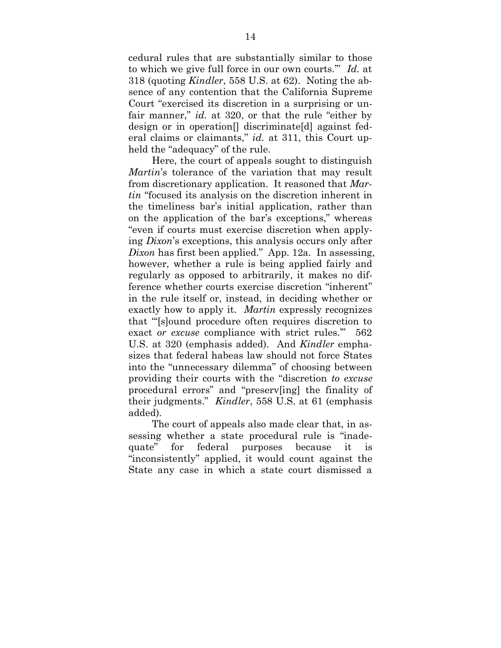cedural rules that are substantially similar to those to which we give full force in our own courts.'" *Id.* at 318 (quoting *Kindler*, 558 U.S. at 62). Noting the absence of any contention that the California Supreme Court "exercised its discretion in a surprising or unfair manner," *id.* at 320, or that the rule "either by design or in operation[] discriminate[d] against federal claims or claimants," *id.* at 311, this Court upheld the "adequacy" of the rule.

Here, the court of appeals sought to distinguish *Martin*'s tolerance of the variation that may result from discretionary application. It reasoned that *Martin* "focused its analysis on the discretion inherent in the timeliness bar's initial application, rather than on the application of the bar's exceptions," whereas "even if courts must exercise discretion when applying *Dixon*'s exceptions, this analysis occurs only after *Dixon* has first been applied." App. 12a. In assessing, however, whether a rule is being applied fairly and regularly as opposed to arbitrarily, it makes no difference whether courts exercise discretion "inherent" in the rule itself or, instead, in deciding whether or exactly how to apply it. *Martin* expressly recognizes that "'[s]ound procedure often requires discretion to exact *or excuse* compliance with strict rules.'" 562 U.S. at 320 (emphasis added). And *Kindler* emphasizes that federal habeas law should not force States into the "unnecessary dilemma" of choosing between providing their courts with the "discretion *to excuse* procedural errors" and "preserv[ing] the finality of their judgments." *Kindler*, 558 U.S. at 61 (emphasis added).

The court of appeals also made clear that, in assessing whether a state procedural rule is "inadequate" for federal purposes because it is "inconsistently" applied, it would count against the State any case in which a state court dismissed a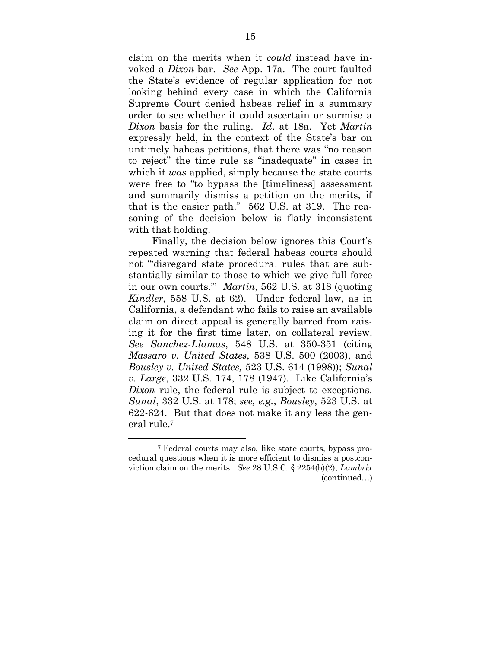claim on the merits when it *could* instead have invoked a *Dixon* bar. *See* App. 17a. The court faulted the State's evidence of regular application for not looking behind every case in which the California Supreme Court denied habeas relief in a summary order to see whether it could ascertain or surmise a *Dixon* basis for the ruling. *Id*. at 18a. Yet *Martin* expressly held, in the context of the State's bar on untimely habeas petitions, that there was "no reason to reject" the time rule as "inadequate" in cases in which it *was* applied, simply because the state courts were free to "to bypass the [timeliness] assessment and summarily dismiss a petition on the merits, if that is the easier path." 562 U.S. at 319. The reasoning of the decision below is flatly inconsistent with that holding.

Finally, the decision below ignores this Court's repeated warning that federal habeas courts should not "disregard state procedural rules that are substantially similar to those to which we give full force in our own courts.'" *Martin*, 562 U.S. at 318 (quoting *Kindler*, 558 U.S. at 62). Under federal law, as in California, a defendant who fails to raise an available claim on direct appeal is generally barred from raising it for the first time later, on collateral review. *See Sanchez-Llamas*, 548 U.S. at 350-351 (citing *Massaro v. United States*, 538 U.S. 500 (2003), and *Bousley v. United States,* 523 U.S. 614 (1998)); *Sunal v. Large*, 332 U.S. 174, 178 (1947). Like California's *Dixon* rule, the federal rule is subject to exceptions. *Sunal*, 332 U.S. at 178; *see, e.g.*, *Bousley*, 523 U.S. at 622-624. But that does not make it any less the general rule.<sup>7</sup>

<sup>7</sup> Federal courts may also, like state courts, bypass procedural questions when it is more efficient to dismiss a postconviction claim on the merits. *See* 28 U.S.C. § 2254(b)(2); *Lambrix* (continued…)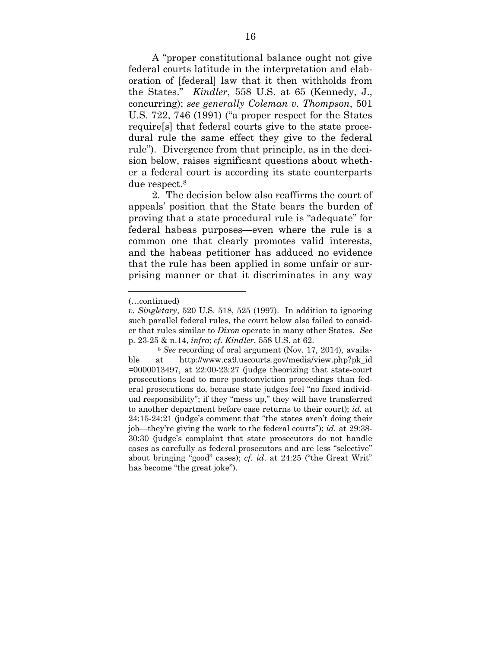A "proper constitutional balance ought not give federal courts latitude in the interpretation and elaboration of [federal] law that it then withholds from the States." *Kindler*, 558 U.S. at 65 (Kennedy, J., concurring); *see generally Coleman v. Thompson*, 501 U.S. 722, 746 (1991) ("a proper respect for the States require[s] that federal courts give to the state procedural rule the same effect they give to the federal rule"). Divergence from that principle, as in the decision below, raises significant questions about whether a federal court is according its state counterparts due respect.<sup>8</sup>

2. The decision below also reaffirms the court of appeals' position that the State bears the burden of proving that a state procedural rule is "adequate" for federal habeas purposes—even where the rule is a common one that clearly promotes valid interests, and the habeas petitioner has adduced no evidence that the rule has been applied in some unfair or surprising manner or that it discriminates in any way

<sup>(…</sup>continued)

*v. Singletary*, 520 U.S. 518, 525 (1997). In addition to ignoring such parallel federal rules, the court below also failed to consider that rules similar to *Dixon* operate in many other States. *See* p. 23-25 & n.14, *infra*; *cf. Kindler*, 558 U.S. at 62.

<sup>8</sup> *See* recording of oral argument (Nov. 17, 2014), available at http://www.ca9.uscourts.gov/media/view.php?pk\_id  $=0000013497$ , at  $22:00-23:27$  (judge theorizing that state-court prosecutions lead to more postconviction proceedings than federal prosecutions do, because state judges feel "no fixed individual responsibility"; if they "mess up," they will have transferred to another department before case returns to their court); *id.* at 24:15-24:21 (judge's comment that "the states aren't doing their job—they're giving the work to the federal courts"); *id.* at 29:38- 30:30 (judge's complaint that state prosecutors do not handle cases as carefully as federal prosecutors and are less "selective" about bringing "good" cases); *cf*. *id*. at 24:25 ("the Great Writ" has become "the great joke").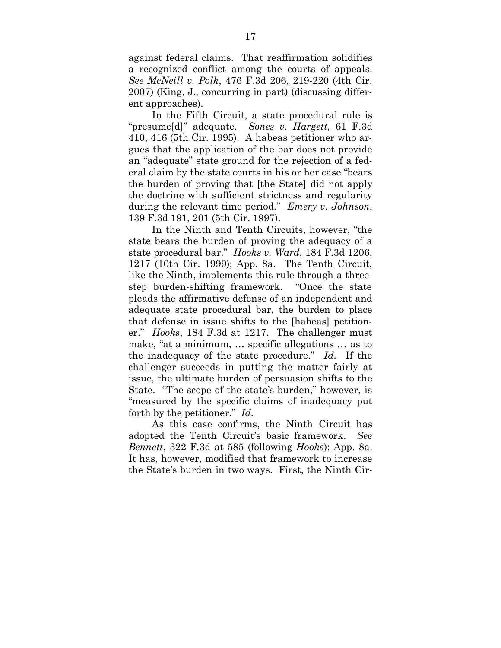against federal claims. That reaffirmation solidifies a recognized conflict among the courts of appeals. *See McNeill v. Polk*, 476 F.3d 206, 219-220 (4th Cir. 2007) (King, J., concurring in part) (discussing different approaches).

In the Fifth Circuit, a state procedural rule is "presume[d]" adequate. *Sones v. Hargett*, 61 F.3d 410, 416 (5th Cir. 1995). A habeas petitioner who argues that the application of the bar does not provide an "adequate" state ground for the rejection of a federal claim by the state courts in his or her case "bears the burden of proving that [the State] did not apply the doctrine with sufficient strictness and regularity during the relevant time period." *Emery v. Johnson*, 139 F.3d 191, 201 (5th Cir. 1997).

In the Ninth and Tenth Circuits, however, "the state bears the burden of proving the adequacy of a state procedural bar." *Hooks v. Ward*, 184 F.3d 1206, 1217 (10th Cir. 1999); App. 8a. The Tenth Circuit, like the Ninth, implements this rule through a threestep burden-shifting framework. "Once the state pleads the affirmative defense of an independent and adequate state procedural bar, the burden to place that defense in issue shifts to the [habeas] petitioner." *Hooks*, 184 F.3d at 1217. The challenger must make, "at a minimum, … specific allegations … as to the inadequacy of the state procedure." *Id.* If the challenger succeeds in putting the matter fairly at issue, the ultimate burden of persuasion shifts to the State. "The scope of the state's burden," however, is "measured by the specific claims of inadequacy put forth by the petitioner." *Id.*

As this case confirms, the Ninth Circuit has adopted the Tenth Circuit's basic framework. *See Bennett*, 322 F.3d at 585 (following *Hooks*); App. 8a. It has, however, modified that framework to increase the State's burden in two ways. First, the Ninth Cir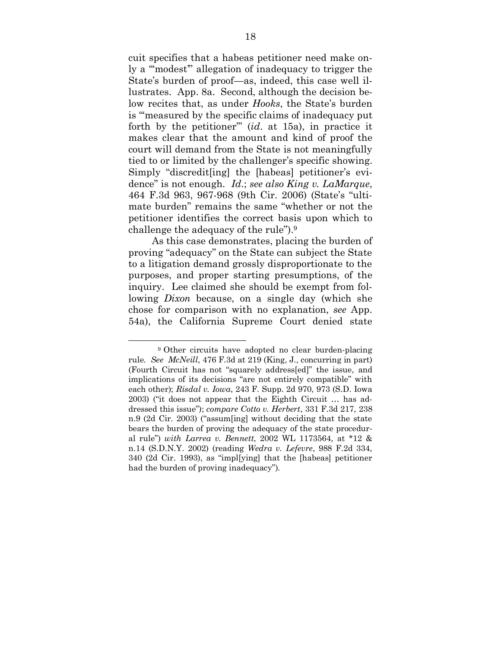cuit specifies that a habeas petitioner need make only a "'modest'" allegation of inadequacy to trigger the State's burden of proof—as, indeed, this case well illustrates. App. 8a. Second, although the decision below recites that, as under *Hooks*, the State's burden is "'measured by the specific claims of inadequacy put forth by the petitioner'" (*id*. at 15a), in practice it makes clear that the amount and kind of proof the court will demand from the State is not meaningfully tied to or limited by the challenger's specific showing. Simply "discredit[ing] the [habeas] petitioner's evidence" is not enough. *Id*.; *see also King v. LaMarque*, 464 F.3d 963, 967-968 (9th Cir. 2006) (State's "ultimate burden" remains the same "whether or not the petitioner identifies the correct basis upon which to challenge the adequacy of the rule").<sup>9</sup>

As this case demonstrates, placing the burden of proving "adequacy" on the State can subject the State to a litigation demand grossly disproportionate to the purposes, and proper starting presumptions, of the inquiry. Lee claimed she should be exempt from following *Dixon* because, on a single day (which she chose for comparison with no explanation, *see* App. 54a), the California Supreme Court denied state

<sup>9</sup> Other circuits have adopted no clear burden-placing rule. *See McNeill*, 476 F.3d at 219 (King, J., concurring in part) (Fourth Circuit has not "squarely address[ed]" the issue, and implications of its decisions "are not entirely compatible" with each other); *Risdal v. Iowa*, 243 F. Supp. 2d 970, 973 (S.D. Iowa 2003) ("it does not appear that the Eighth Circuit … has addressed this issue"); *compare Cotto v. Herbert*, 331 F.3d 217, 238 n.9 (2d Cir. 2003) ("assum[ing] without deciding that the state bears the burden of proving the adequacy of the state procedural rule") *with Larrea v. Bennett*, 2002 WL 1173564, at \*12 & n.14 (S.D.N.Y. 2002) (reading *Wedra v. Lefevre*, 988 F.2d 334, 340 (2d Cir. 1993), as "impl[ying] that the [habeas] petitioner had the burden of proving inadequacy").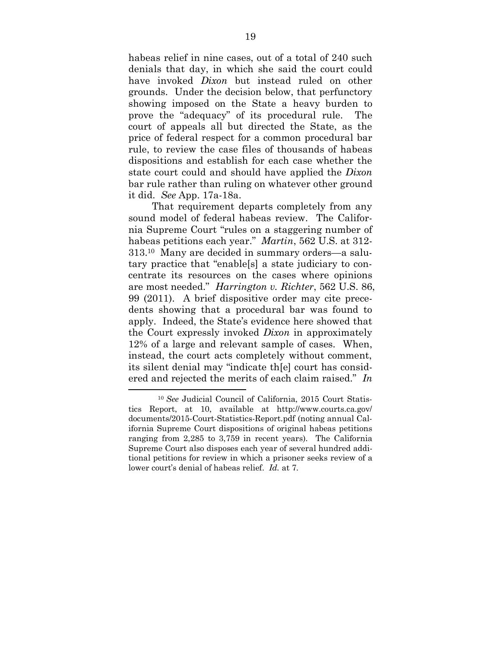habeas relief in nine cases, out of a total of 240 such denials that day, in which she said the court could have invoked *Dixon* but instead ruled on other grounds. Under the decision below, that perfunctory showing imposed on the State a heavy burden to prove the "adequacy" of its procedural rule. The court of appeals all but directed the State, as the price of federal respect for a common procedural bar rule, to review the case files of thousands of habeas dispositions and establish for each case whether the state court could and should have applied the *Dixon* bar rule rather than ruling on whatever other ground it did. *See* App. 17a-18a.

That requirement departs completely from any sound model of federal habeas review. The California Supreme Court "rules on a staggering number of habeas petitions each year." *Martin*, 562 U.S. at 312- 313.10 Many are decided in summary orders—a salutary practice that "enable[s] a state judiciary to concentrate its resources on the cases where opinions are most needed." *Harrington v. Richter*, 562 U.S. 86, 99 (2011). A brief dispositive order may cite precedents showing that a procedural bar was found to apply. Indeed, the State's evidence here showed that the Court expressly invoked *Dixon* in approximately 12% of a large and relevant sample of cases. When, instead, the court acts completely without comment, its silent denial may "indicate th[e] court has considered and rejected the merits of each claim raised." *In*

<sup>10</sup> *See* Judicial Council of California, 2015 Court Statistics Report, at 10, available at http://www.courts.ca.gov/ documents/2015-Court-Statistics-Report.pdf (noting annual California Supreme Court dispositions of original habeas petitions ranging from 2,285 to 3,759 in recent years). The California Supreme Court also disposes each year of several hundred additional petitions for review in which a prisoner seeks review of a lower court's denial of habeas relief. *Id.* at 7.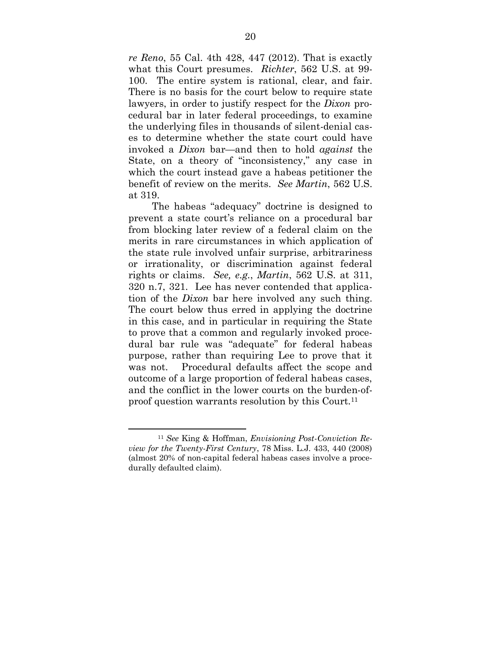*re Reno*, 55 Cal. 4th 428, 447 (2012). That is exactly what this Court presumes. *Richter*, 562 U.S. at 99- 100. The entire system is rational, clear, and fair. There is no basis for the court below to require state lawyers, in order to justify respect for the *Dixon* procedural bar in later federal proceedings, to examine the underlying files in thousands of silent-denial cases to determine whether the state court could have invoked a *Dixon* bar—and then to hold *against* the State, on a theory of "inconsistency," any case in which the court instead gave a habeas petitioner the benefit of review on the merits. *See Martin*, 562 U.S. at 319.

The habeas "adequacy" doctrine is designed to prevent a state court's reliance on a procedural bar from blocking later review of a federal claim on the merits in rare circumstances in which application of the state rule involved unfair surprise, arbitrariness or irrationality, or discrimination against federal rights or claims. *See, e.g.*, *Martin*, 562 U.S. at 311, 320 n.7, 321. Lee has never contended that application of the *Dixon* bar here involved any such thing. The court below thus erred in applying the doctrine in this case, and in particular in requiring the State to prove that a common and regularly invoked procedural bar rule was "adequate" for federal habeas purpose, rather than requiring Lee to prove that it was not. Procedural defaults affect the scope and outcome of a large proportion of federal habeas cases, and the conflict in the lower courts on the burden-ofproof question warrants resolution by this Court.<sup>11</sup>

<sup>11</sup> *See* King & Hoffman, *Envisioning Post-Conviction Review for the Twenty-First Century*, 78 Miss. L.J. 433, 440 (2008) (almost 20% of non-capital federal habeas cases involve a procedurally defaulted claim).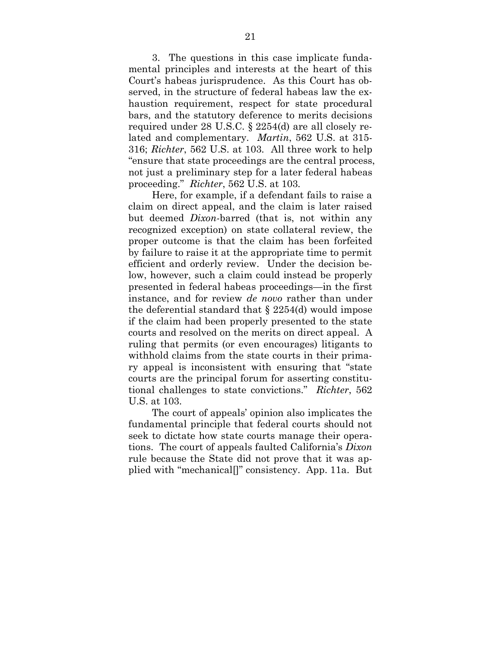3. The questions in this case implicate fundamental principles and interests at the heart of this Court's habeas jurisprudence. As this Court has observed, in the structure of federal habeas law the exhaustion requirement, respect for state procedural bars, and the statutory deference to merits decisions required under 28 U.S.C. § 2254(d) are all closely related and complementary. *Martin*, 562 U.S. at 315- 316; *Richter*, 562 U.S. at 103. All three work to help "ensure that state proceedings are the central process, not just a preliminary step for a later federal habeas proceeding." *Richter*, 562 U.S. at 103*.*

Here, for example, if a defendant fails to raise a claim on direct appeal, and the claim is later raised but deemed *Dixon-*barred (that is, not within any recognized exception) on state collateral review, the proper outcome is that the claim has been forfeited by failure to raise it at the appropriate time to permit efficient and orderly review. Under the decision below, however, such a claim could instead be properly presented in federal habeas proceedings—in the first instance, and for review *de novo* rather than under the deferential standard that  $\S 2254$ (d) would impose if the claim had been properly presented to the state courts and resolved on the merits on direct appeal. A ruling that permits (or even encourages) litigants to withhold claims from the state courts in their primary appeal is inconsistent with ensuring that "state courts are the principal forum for asserting constitutional challenges to state convictions." *Richter*, 562 U.S. at 103.

The court of appeals' opinion also implicates the fundamental principle that federal courts should not seek to dictate how state courts manage their operations. The court of appeals faulted California's *Dixon* rule because the State did not prove that it was applied with "mechanical[]" consistency. App. 11a. But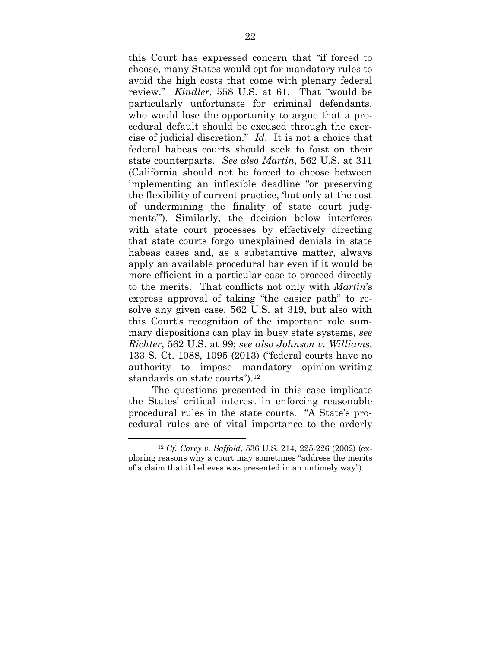this Court has expressed concern that "if forced to choose, many States would opt for mandatory rules to avoid the high costs that come with plenary federal review." *Kindler*, 558 U.S. at 61. That "would be particularly unfortunate for criminal defendants, who would lose the opportunity to argue that a procedural default should be excused through the exercise of judicial discretion." *Id*. It is not a choice that federal habeas courts should seek to foist on their state counterparts. *See also Martin*, 562 U.S. at 311 (California should not be forced to choose between implementing an inflexible deadline "or preserving the flexibility of current practice, 'but only at the cost of undermining the finality of state court judgments'"). Similarly, the decision below interferes with state court processes by effectively directing that state courts forgo unexplained denials in state habeas cases and, as a substantive matter, always apply an available procedural bar even if it would be more efficient in a particular case to proceed directly to the merits. That conflicts not only with *Martin*'s express approval of taking "the easier path" to resolve any given case, 562 U.S. at 319, but also with this Court's recognition of the important role summary dispositions can play in busy state systems, *see Richter*, 562 U.S. at 99; *see also Johnson v. Williams*, 133 S. Ct. 1088, 1095 (2013) ("federal courts have no authority to impose mandatory opinion-writing standards on state courts").<sup>12</sup>

The questions presented in this case implicate the States' critical interest in enforcing reasonable procedural rules in the state courts. "A State's procedural rules are of vital importance to the orderly

<sup>12</sup> *Cf. Carey v. Saffold*, 536 U.S. 214, 225-226 (2002) (exploring reasons why a court may sometimes "address the merits of a claim that it believes was presented in an untimely way").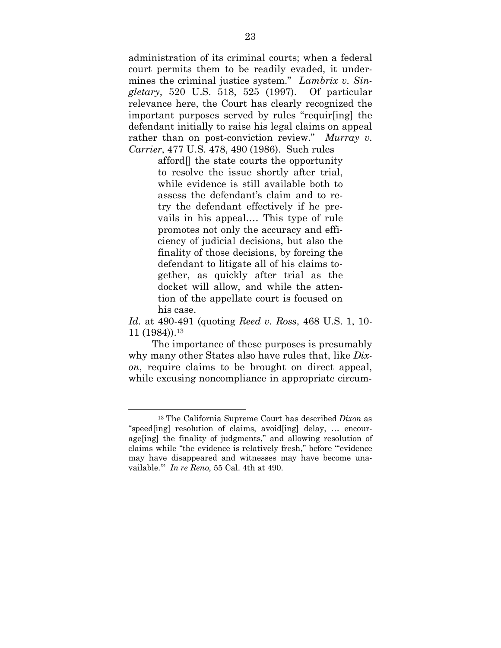administration of its criminal courts; when a federal court permits them to be readily evaded, it undermines the criminal justice system." *Lambrix v. Singletary*, 520 U.S. 518, 525 (1997). Of particular relevance here, the Court has clearly recognized the important purposes served by rules "requir[ing] the defendant initially to raise his legal claims on appeal rather than on post-conviction review." *Murray v. Carrier*, 477 U.S. 478, 490 (1986). Such rules

> afford[] the state courts the opportunity to resolve the issue shortly after trial, while evidence is still available both to assess the defendant's claim and to retry the defendant effectively if he prevails in his appeal.… This type of rule promotes not only the accuracy and efficiency of judicial decisions, but also the finality of those decisions, by forcing the defendant to litigate all of his claims together, as quickly after trial as the docket will allow, and while the attention of the appellate court is focused on his case.

*Id.* at 490-491 (quoting *Reed v. Ross*, 468 U.S. 1, 10- 11 (1984)).<sup>13</sup>

The importance of these purposes is presumably why many other States also have rules that, like *Dixon*, require claims to be brought on direct appeal, while excusing noncompliance in appropriate circum-

<sup>13</sup> The California Supreme Court has described *Dixon* as "speed[ing] resolution of claims, avoid[ing] delay, … encourage[ing] the finality of judgments," and allowing resolution of claims while "the evidence is relatively fresh," before "'evidence may have disappeared and witnesses may have become unavailable.'" *In re Reno*, 55 Cal. 4th at 490.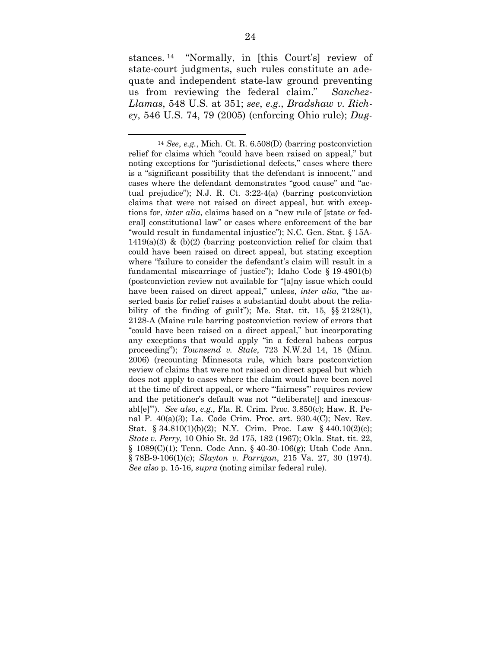stances. <sup>14</sup> "Normally, in [this Court's] review of state-court judgments, such rules constitute an adequate and independent state-law ground preventing us from reviewing the federal claim." *Sanchez-Llamas*, 548 U.S. at 351; *see*, *e.g.*, *Bradshaw v. Richey*, 546 U.S. 74, 79 (2005) (enforcing Ohio rule); *Dug-*

<sup>14</sup> *See*, *e.g.*, Mich. Ct. R. 6.508(D) (barring postconviction relief for claims which "could have been raised on appeal," but noting exceptions for "jurisdictional defects," cases where there is a "significant possibility that the defendant is innocent," and cases where the defendant demonstrates "good cause" and "actual prejudice"); N.J. R. Ct. 3:22-4(a) (barring postconviction claims that were not raised on direct appeal, but with exceptions for, *inter alia*, claims based on a "new rule of [state or federal] constitutional law" or cases where enforcement of the bar "would result in fundamental injustice"); N.C. Gen. Stat. § 15A- $1419(a)(3)$  & (b)(2) (barring postconviction relief for claim that could have been raised on direct appeal, but stating exception where "failure to consider the defendant's claim will result in a fundamental miscarriage of justice"); Idaho Code § 19-4901(b) (postconviction review not available for "[a]ny issue which could have been raised on direct appeal," unless, *inter alia*, "the asserted basis for relief raises a substantial doubt about the reliability of the finding of guilt"); Me. Stat. tit. 15, §§ 2128(1), 2128-A (Maine rule barring postconviction review of errors that "could have been raised on a direct appeal," but incorporating any exceptions that would apply "in a federal habeas corpus proceeding"); *Townsend v. State*, 723 N.W.2d 14, 18 (Minn. 2006) (recounting Minnesota rule, which bars postconviction review of claims that were not raised on direct appeal but which does not apply to cases where the claim would have been novel at the time of direct appeal, or where "'fairness'" requires review and the petitioner's default was not "deliberate<sup>[]</sup> and inexcusabl[e]'"). *See also*, *e.g.*, Fla. R. Crim. Proc. 3.850(c); Haw. R. Penal P. 40(a)(3); La. Code Crim. Proc. art. 930.4(C); Nev. Rev. Stat. § 34.810(1)(b)(2); N.Y. Crim. Proc. Law § 440.10(2)(c); *State v. Perry*, 10 Ohio St. 2d 175, 182 (1967); Okla. Stat. tit. 22, § 1089(C)(1); Tenn. Code Ann. § 40-30-106(g); Utah Code Ann. § 78B-9-106(1)(c); *Slayton v. Parrigan*, 215 Va. 27, 30 (1974). *See also* p. 15-16, *supra* (noting similar federal rule).